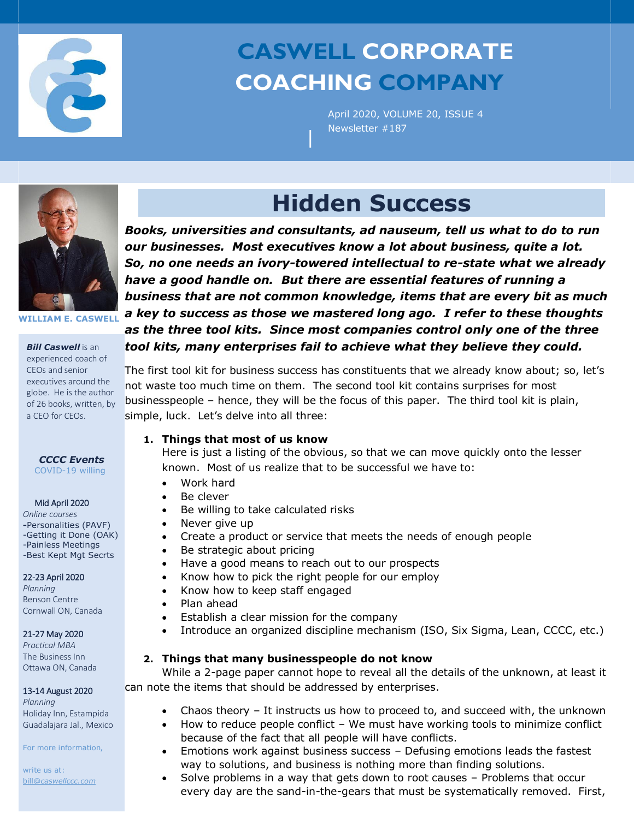

# **CASWELL CORPORATE COACHING COMPANY**

April 2020, VOLUME 20, ISSUE 4 Newsletter #187



**WILLIAM E. CASWELL**

*Bill Caswell* is an experienced coach of CEOs and senior executives around the globe. He is the author of 26 books, written, by a CEO for CEOs.

*CCCC Events* COVID-19 willing

#### Mid April 2020

*Online courses* **-**Personalities (PAVF) -Getting it Done (OAK) -Painless Meetings -Best Kept Mgt Secrts

#### 22-23 April 2020

*Planning* Benson Centre Cornwall ON, Canada

#### 21-27 May 2020

*Practical MBA*  The Business Inn Ottawa ON, Canada

## 13-14 August 2020

*Planning*  Holiday Inn, Estampida Guadalajara Jal., Mexico

For more information,

write us at: bill@*caswellccc.com*

# **Hidden Success**

|

*Books, universities and consultants, ad nauseum, tell us what to do to run our businesses. Most executives know a lot about business, quite a lot. So, no one needs an ivory-towered intellectual to re-state what we already have a good handle on. But there are essential features of running a business that are not common knowledge, items that are every bit as much a key to success as those we mastered long ago. I refer to these thoughts as the three tool kits. Since most companies control only one of the three tool kits, many enterprises fail to achieve what they believe they could.*

The first tool kit for business success has constituents that we already know about; so, let's not waste too much time on them. The second tool kit contains surprises for most businesspeople – hence, they will be the focus of this paper. The third tool kit is plain, simple, luck. Let's delve into all three:

## **1. Things that most of us know**

Here is just a listing of the obvious, so that we can move quickly onto the lesser known. Most of us realize that to be successful we have to:

- Work hard
- Be clever
- Be willing to take calculated risks
- Never give up
- Create a product or service that meets the needs of enough people
- Be strategic about pricing
- Have a good means to reach out to our prospects
- Know how to pick the right people for our employ
- Know how to keep staff engaged
- Plan ahead
- Establish a clear mission for the company
- Introduce an organized discipline mechanism (ISO, Six Sigma, Lean, CCCC, etc.)

## **2. Things that many businesspeople do not know**

While a 2-page paper cannot hope to reveal all the details of the unknown, at least it can note the items that should be addressed by enterprises.

- Chaos theory It instructs us how to proceed to, and succeed with, the unknown
- How to reduce people conflict We must have working tools to minimize conflict because of the fact that all people will have conflicts.
- Emotions work against business success Defusing emotions leads the fastest way to solutions, and business is nothing more than finding solutions.
- Solve problems in a way that gets down to root causes Problems that occur every day are the sand-in-the-gears that must be systematically removed. First,